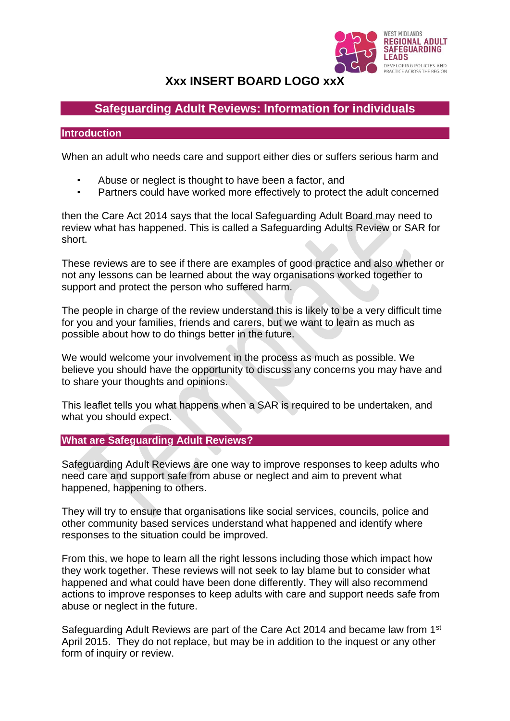

# **Xxx INSERT BOARD LOGO xxX**

## **Safeguarding Adult Reviews: Information for individuals**

### **Introduction**

When an adult who needs care and support either dies or suffers serious harm and

- Abuse or neglect is thought to have been a factor, and
- Partners could have worked more effectively to protect the adult concerned

then the Care Act 2014 says that the local Safeguarding Adult Board may need to review what has happened. This is called a Safeguarding Adults Review or SAR for short.

These reviews are to see if there are examples of good practice and also whether or not any lessons can be learned about the way organisations worked together to support and protect the person who suffered harm.

The people in charge of the review understand this is likely to be a very difficult time for you and your families, friends and carers, but we want to learn as much as possible about how to do things better in the future.

We would welcome your involvement in the process as much as possible. We believe you should have the opportunity to discuss any concerns you may have and to share your thoughts and opinions.

This leaflet tells you what happens when a SAR is required to be undertaken, and what you should expect.

## **What are Safeguarding Adult Reviews?**

Safeguarding Adult Reviews are one way to improve responses to keep adults who need care and support safe from abuse or neglect and aim to prevent what happened, happening to others.

They will try to ensure that organisations like social services, councils, police and other community based services understand what happened and identify where responses to the situation could be improved.

From this, we hope to learn all the right lessons including those which impact how they work together. These reviews will not seek to lay blame but to consider what happened and what could have been done differently. They will also recommend actions to improve responses to keep adults with care and support needs safe from abuse or neglect in the future.

Safeguarding Adult Reviews are part of the Care Act 2014 and became law from 1st April 2015. They do not replace, but may be in addition to the inquest or any other form of inquiry or review.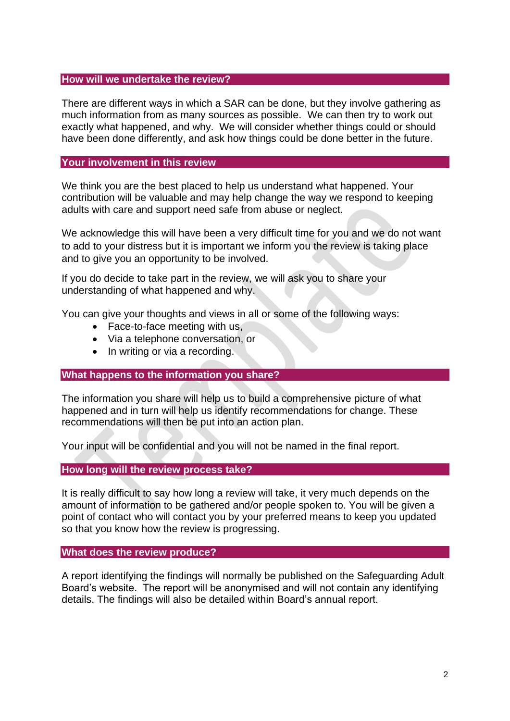### **How will we undertake the review?**

There are different ways in which a SAR can be done, but they involve gathering as much information from as many sources as possible. We can then try to work out exactly what happened, and why. We will consider whether things could or should have been done differently, and ask how things could be done better in the future.

## **Your involvement in this review**

We think you are the best placed to help us understand what happened. Your contribution will be valuable and may help change the way we respond to keeping adults with care and support need safe from abuse or neglect.

We acknowledge this will have been a very difficult time for you and we do not want to add to your distress but it is important we inform you the review is taking place and to give you an opportunity to be involved.

If you do decide to take part in the review, we will ask you to share your understanding of what happened and why.

You can give your thoughts and views in all or some of the following ways:

- Face-to-face meeting with us,
- Via a telephone conversation, or
- In writing or via a recording.

## **What happens to the information you share?**

The information you share will help us to build a comprehensive picture of what happened and in turn will help us identify recommendations for change. These recommendations will then be put into an action plan.

Your input will be confidential and you will not be named in the final report.

### **How long will the review process take?**

It is really difficult to say how long a review will take, it very much depends on the amount of information to be gathered and/or people spoken to. You will be given a point of contact who will contact you by your preferred means to keep you updated so that you know how the review is progressing.

### **What does the review produce?**

A report identifying the findings will normally be published on the Safeguarding Adult Board's website. The report will be anonymised and will not contain any identifying details. The findings will also be detailed within Board's annual report.